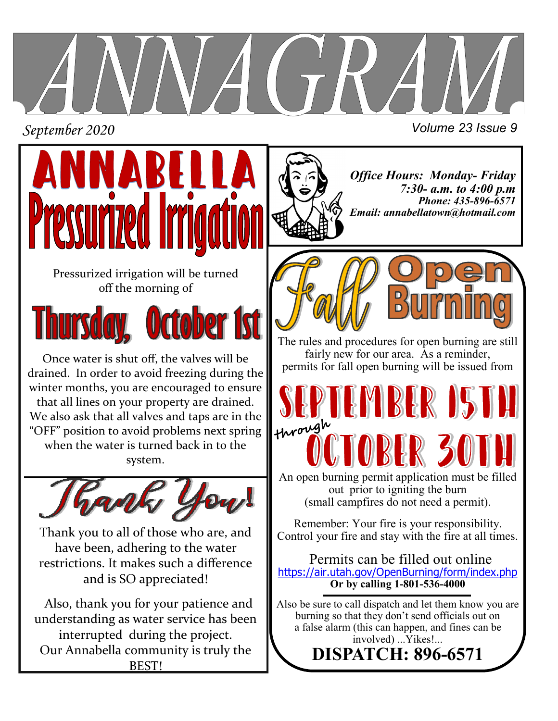

*September 2020 Volume 23 Issue 9*



Pressurized irrigation will be turned off the morning of



Once water is shut off, the valves will be drained. In order to avoid freezing during the winter months, you are encouraged to ensure that all lines on your property are drained. We also ask that all valves and taps are in the "OFF" position to avoid problems next spring when the water is turned back in to the system.



Thank you to all of those who are, and have been, adhering to the water restrictions. It makes such a difference and is SO appreciated!

 Also, thank you for your patience and understanding as water service has been interrupted during the project. Our Annabella community is truly the BEST!

*Office Hours: Monday- Friday 7:30- a.m. to 4:00 p.m Phone: 435-896-6571 Email: annabellatown@hotmail.com*



The rules and procedures for open burning are still fairly new for our area. As a reminder, permits for fall open burning will be issued from

**RIS**  $\mathbf{H}$  $||\cdot||$ through An open burning permit application must be filled out prior to igniting the burn

(small campfires do not need a permit).

Remember: Your fire is your responsibility. Control your fire and stay with the fire at all times.

 Permits can be filled out online <https://air.utah.gov/OpenBurning/form/index.php> **Or by calling 1-801-536-4000** 

Also be sure to call dispatch and let them know you are burning so that they don't send officials out on a false alarm (this can happen, and fines can be involved) ...Yikes!... **DISPATCH: 896-6571**